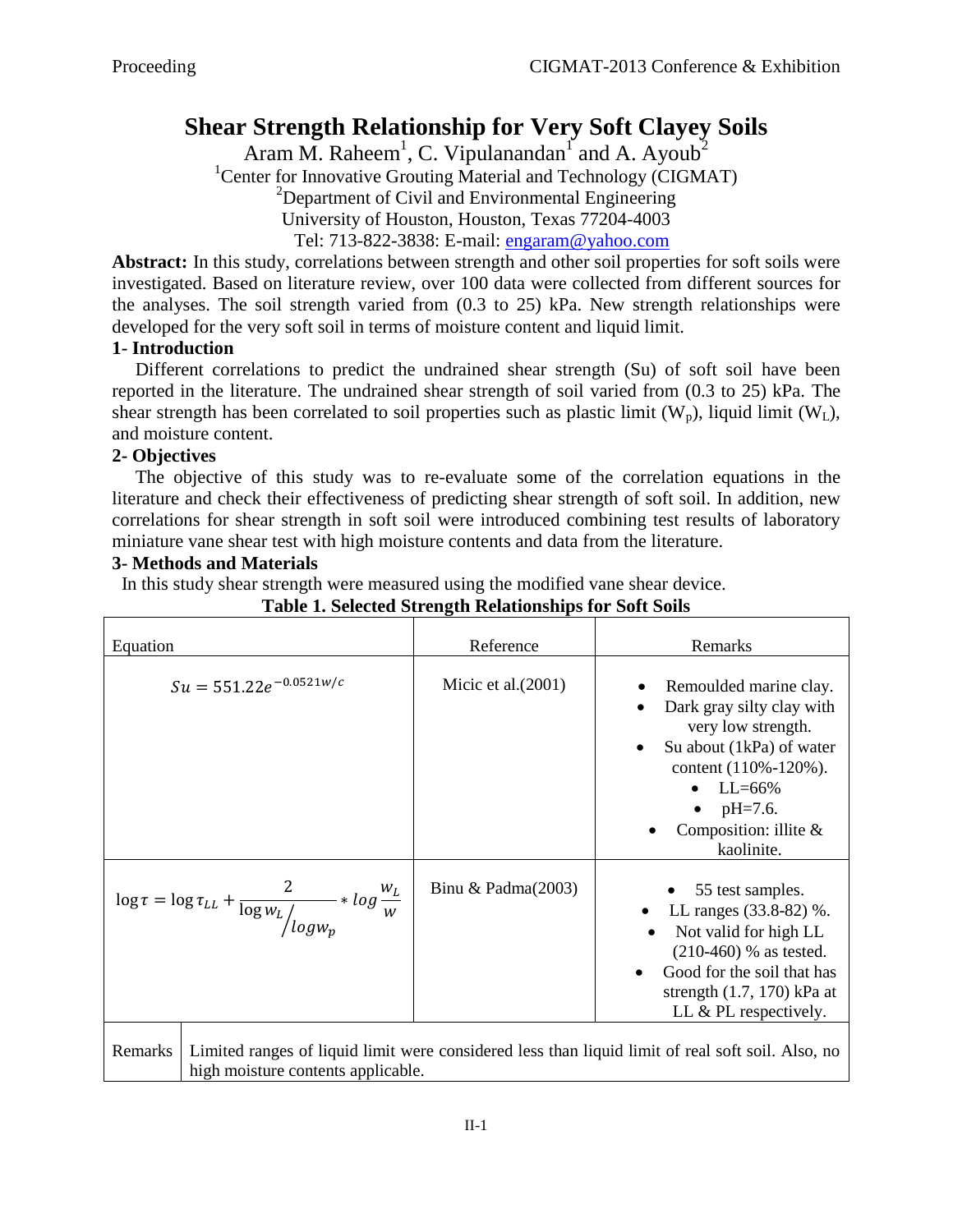# **Shear Strength Relationship for Very Soft Clayey Soils**

Aram M. Raheem<sup>1</sup>, C. Vipulanandan<sup>1</sup> and A. Ayoub<sup>2</sup>

<sup>1</sup>Center for Innovative Grouting Material and Technology (CIGMAT)

 $2$ Department of Civil and Environmental Engineering

University of Houston, Houston, Texas 77204-4003

Tel: 713-822-3838: E-mail: [engaram@yahoo.com](mailto:engaram@yahoo.com)

**Abstract:** In this study, correlations between strength and other soil properties for soft soils were investigated. Based on literature review, over 100 data were collected from different sources for the analyses. The soil strength varied from (0.3 to 25) kPa. New strength relationships were developed for the very soft soil in terms of moisture content and liquid limit.

## **1- Introduction**

 Different correlations to predict the undrained shear strength (Su) of soft soil have been reported in the literature. The undrained shear strength of soil varied from (0.3 to 25) kPa. The shear strength has been correlated to soil properties such as plastic limit  $(W_n)$ , liquid limit  $(W_L)$ , and moisture content.

### **2- Objectives**

 The objective of this study was to re-evaluate some of the correlation equations in the literature and check their effectiveness of predicting shear strength of soft soil. In addition, new correlations for shear strength in soft soil were introduced combining test results of laboratory miniature vane shear test with high moisture contents and data from the literature.

### **3- Methods and Materials**

In this study shear strength were measured using the modified vane shear device.

| Equation                                                                                                                                           | Reference             | Remarks                                                                                                                                                                                                                          |
|----------------------------------------------------------------------------------------------------------------------------------------------------|-----------------------|----------------------------------------------------------------------------------------------------------------------------------------------------------------------------------------------------------------------------------|
| $Su = 551.22e^{-0.0521w/c}$                                                                                                                        | Micic et al. $(2001)$ | Remoulded marine clay.<br>Dark gray silty clay with<br>very low strength.<br>Su about (1kPa) of water<br>$\bullet$<br>content (110%-120%).<br>$LL = 66\%$<br>$pH = 7.6$ .<br>$\bullet$<br>Composition: illite $\&$<br>kaolinite. |
| $\log \tau = \log \tau_{LL} + \frac{2}{\log w_L / \log w_p} * \log \frac{w_L}{w}$                                                                  | Binu & Padma $(2003)$ | 55 test samples.<br>LL ranges (33.8-82) %.<br>Not valid for high LL<br>$(210-460)$ % as tested.<br>Good for the soil that has<br>$\bullet$<br>strength $(1.7, 170)$ kPa at<br>LL & PL respectively.                              |
| Remarks<br>Limited ranges of liquid limit were considered less than liquid limit of real soft soil. Also, no<br>high moisture contents applicable. |                       |                                                                                                                                                                                                                                  |

# **Table 1. Selected Strength Relationships for Soft Soils**